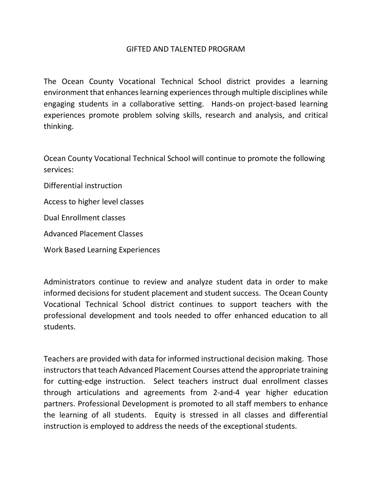## GIFTED AND TALENTED PROGRAM

The Ocean County Vocational Technical School district provides a learning environment that enhances learning experiences through multiple disciplines while engaging students in a collaborative setting. Hands-on project-based learning experiences promote problem solving skills, research and analysis, and critical thinking.

Ocean County Vocational Technical School will continue to promote the following services:

Differential instruction

Access to higher level classes

Dual Enrollment classes

Advanced Placement Classes

Work Based Learning Experiences

Administrators continue to review and analyze student data in order to make informed decisions for student placement and student success. The Ocean County Vocational Technical School district continues to support teachers with the professional development and tools needed to offer enhanced education to all students.

Teachers are provided with data for informed instructional decision making. Those instructors that teach Advanced Placement Courses attend the appropriate training for cutting-edge instruction. Select teachers instruct dual enrollment classes through articulations and agreements from 2-and-4 year higher education partners. Professional Development is promoted to all staff members to enhance the learning of all students. Equity is stressed in all classes and differential instruction is employed to address the needs of the exceptional students.